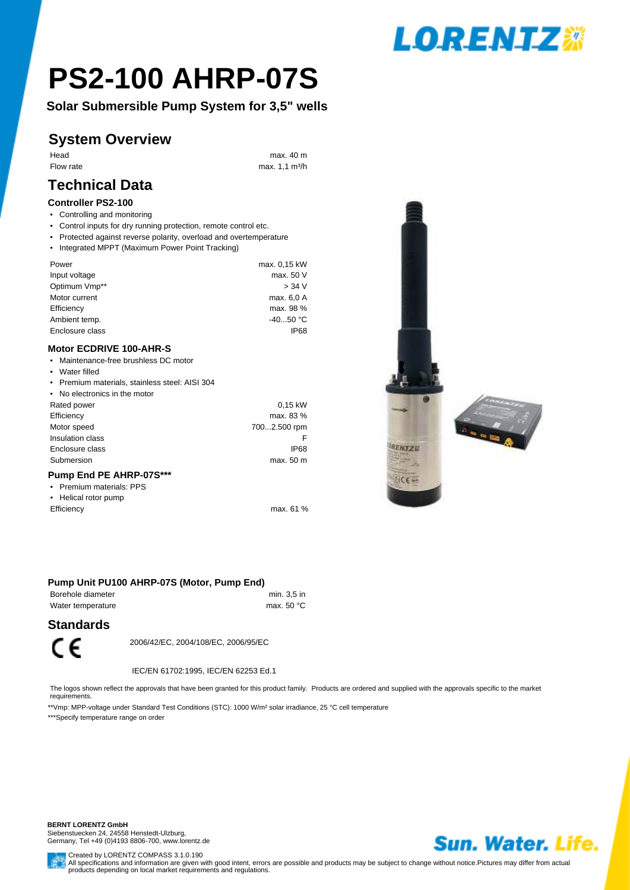

# **PS2-100 AHRP-07S**

**Solar Submersible Pump System for 3,5" wells**

## **System Overview**

Head max. 40 m Flow rate max. 1.1 m<sup>3</sup>/h

## **Technical Data**

#### **Controller PS2-100**

- Controlling and monitoring
- Control inputs for dry running protection, remote control etc.
- Protected against reverse polarity, overload and overtemperature
- . Integrated MPPT (Maximum Power Point Tracking)

| Power           | max. 0,15 kW |
|-----------------|--------------|
| Input voltage   | max. 50 V    |
| Optimum Vmp**   | $>$ 34 V     |
| Motor current   | max. 6,0 A   |
| Efficiency      | max. 98 %    |
| Ambient temp.   | $-4050 °C$   |
| Enclosure class | <b>IP68</b>  |

#### **Motor ECDRIVE 100-AHR-S**

- . Maintenance-free brushless DC motor
- ザ"""Water filled
- Premium materials, stainless steel: AISI 304 No electronics in the motor

| <u>- TVO GIGOLIONIOS IN UIG MUUDI</u> |              |
|---------------------------------------|--------------|
| Rated power                           | $0.15$ kW    |
| Efficiency                            | max. 83 %    |
| Motor speed                           | 7002.500 rpm |
| Insulation class                      |              |
| Enclosure class                       | <b>IP68</b>  |
| Submersion                            | max. 50 m    |
| - -----                               |              |

#### **Pump End PE AHRP-07S\*\*\***

- " Premium materials: PPS
- Helical rotor pump Efficiency max. 61 %

#### **Pump Unit PU100 AHRP-07S (Motor, Pump End)**

| Borehole diameter | min. 3.5 in |
|-------------------|-------------|
| Water temperature | max. 50 °C  |

#### **Standards**



2006/42/EC, 2004/108/EC, 2006/95/EC

IEC/EN 61702:1995, IEC/EN 62253 Ed.1

The logos shown reflect the approvals that have been granted for this product family. Products are ordered and supplied with the approvals specific to the market requirements.

\*\*Vmp: MPP-voltage under Standard Test Conditions (STC): 1000 W/m² solar irradiance, 25 °C cell temperature

\*\*\*Specify temperature range on order

**BERNT LORENTZ GmbH**

Siebenstuecken 24, 24558 Henstedt-Ulzburg, Germany, Tel +49 (0)4193 8806-700, www.lorentz.de



Created by LORENTZ COMPASS 3.1.0.190

All specifications and information are given with good intent, errors are possible and products may be subject to change without notice.Pictures may differ from actual<br>products depending on local market requirements and re